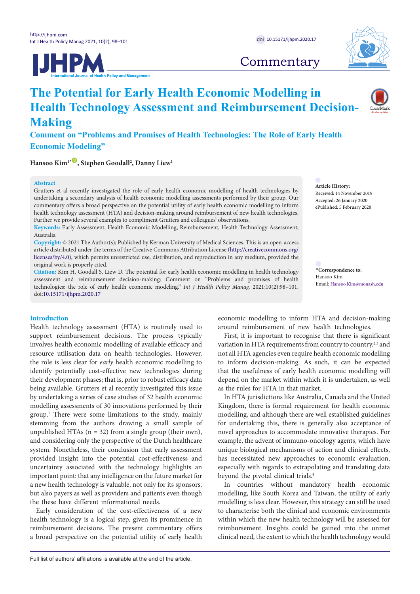



# **Commentary**

# **The Potential for Early Health Economic Modelling in Health Technology Assessment and Reimbursement Decision-Making**

**Comment on "Problems and Promises of Health Technologies: The Role of Early Health Economic Modeling"**

 $\text{Hansoo Kim}^{1*}\overset{\text{\textcircled{\text{I}}}}{\longrightarrow} \text{Stephen Goodall}^{2}, \text{Danny Liew}^{1}$  $\text{Hansoo Kim}^{1*}\overset{\text{\textcircled{\text{I}}}}{\longrightarrow} \text{Stephen Goodall}^{2}, \text{Danny Liew}^{1}$  $\text{Hansoo Kim}^{1*}\overset{\text{\textcircled{\text{I}}}}{\longrightarrow} \text{Stephen Goodall}^{2}, \text{Danny Liew}^{1}$ 

## **Abstract**

Grutters et al recently investigated the role of early health economic modelling of health technologies by undertaking a secondary analysis of health economic modelling assessments performed by their group. Our commentary offers a broad perspective on the potential utility of early health economic modelling to inform health technology assessment (HTA) and decision-making around reimbursement of new health technologies. Further we provide several examples to compliment Grutters and colleagues' observations.

**Keywords:** Early Assessment, Health Economic Modelling, Reimbursement, Health Technology Assessment, Australia

**Copyright:** © 2021 The Author(s); Published by Kerman University of Medical Sciences. This is an open-access article distributed under the terms of the Creative Commons Attribution License [\(http://creativecommons.org/](http://creativecommons.org/licenses/by/4.0) [licenses/by/4.0](http://creativecommons.org/licenses/by/4.0)), which permits unrestricted use, distribution, and reproduction in any medium, provided the original work is properly cited.

**Citation:** Kim H, Goodall S, Liew D. The potential for early health economic modelling in health technology assessment and reimbursement decision-making: Comment on "Problems and promises of health technologies: the role of early health economic modeling." *Int J Health Policy Manag.* 2021;10(2):98–101. doi[:10.15171/ijhpm.2020.17](https://doi.org/10.15171/ijhpm.2020.17)

<span id="page-0-0"></span>**\*Correspondence to:** Hansoo Kim Email: Hansoo.Kim@monash.edu

**Article History:** Received: 14 November 2019 Accepted: 26 January 2020 ePublished: 5 February 2020

#### **Introduction**

Health technology assessment (HTA) is routinely used to support reimbursement decisions. The process typically involves health economic modelling of available efficacy and resource utilisation data on health technologies. However, the role is less clear for *early* health economic modelling to identify potentially cost-effective new technologies during their development phases; that is, prior to robust efficacy data being available. Grutters et al recently investigated this issue by undertaking a series of case studies of 32 health economic modelling assessments of 30 innovations performed by their group.1 There were some limitations to the study, mainly stemming from the authors drawing a small sample of unpublished HTAs  $(n = 32)$  from a single group (their own), and considering only the perspective of the Dutch healthcare system. Nonetheless, their conclusion that early assessment provided insight into the potential cost-effectiveness and uncertainty associated with the technology highlights an important point: that any intelligence on the future market for a new health technology is valuable, not only for its sponsors, but also payers as well as providers and patients even though the these have different informational needs.

Early consideration of the cost-effectiveness of a new health technology is a logical step, given its prominence in reimbursement decisions. The present commentary offers a broad perspective on the potential utility of early health economic modelling to inform HTA and decision-making around reimbursement of new health technologies.

First, it is important to recognise that there is significant variation in HTA requirements from country to country, $23$  and not all HTA agencies even require health economic modelling to inform decision-making. As such, it can be expected that the usefulness of early health economic modelling will depend on the market within which it is undertaken, as well as the rules for HTA in that market.

In HTA jurisdictions like Australia, Canada and the United Kingdom, there is formal requirement for health economic modelling, and although there are well established guidelines for undertaking this, there is generally also acceptance of novel approaches to accommodate innovative therapies. For example, the advent of immuno-oncology agents, which have unique biological mechanisms of action and clinical effects, has necessitated new approaches to economic evaluation, especially with regards to extrapolating and translating data beyond the pivotal clinical trials.<sup>4</sup>

In countries without mandatory health economic modelling, like South Korea and Taiwan, the utility of early modelling is less clear. However, this strategy can still be used to characterise both the clinical and economic environments within which the new health technology will be assessed for reimbursement. Insights could be gained into the unmet clinical need, the extent to which the health technology would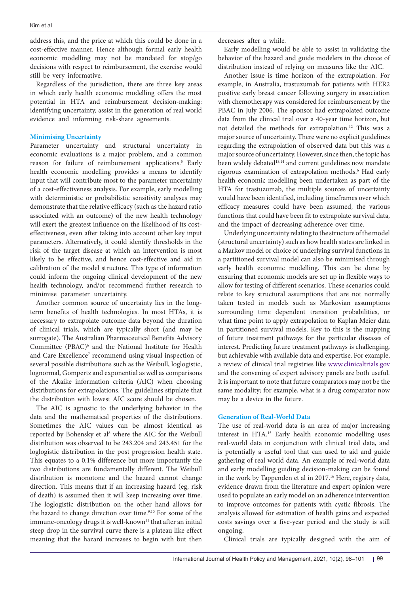address this, and the price at which this could be done in a cost-effective manner. Hence although formal early health economic modelling may not be mandated for stop/go decisions with respect to reimbursement, the exercise would still be very informative.

Regardless of the jurisdiction, there are three key areas in which early health economic modelling offers the most potential in HTA and reimbursement decision-making: identifying uncertainty, assist in the generation of real world evidence and informing risk-share agreements.

# **Minimising Uncertainty**

Parameter uncertainty and structural uncertainty in economic evaluations is a major problem, and a common reason for failure of reimbursement applications.<sup>5</sup> Early health economic modelling provides a means to identify input that will contribute most to the parameter uncertainty of a cost-effectiveness analysis. For example, early modelling with deterministic or probabilistic sensitivity analyses may demonstrate that the relative efficacy (such as the hazard ratio associated with an outcome) of the new health technology will exert the greatest influence on the likelihood of its costeffectiveness, even after taking into account other key input parameters. Alternatively, it could identify thresholds in the risk of the target disease at which an intervention is most likely to be effective, and hence cost-effective and aid in calibration of the model structure. This type of information could inform the ongoing clinical development of the new health technology, and/or recommend further research to minimise parameter uncertainty.

Another common source of uncertainty lies in the longterm benefits of health technologies. In most HTAs, it is necessary to extrapolate outcome data beyond the duration of clinical trials, which are typically short (and may be surrogate). The Australian Pharmaceutical Benefits Advisory Committee (PBAC)<sup>6</sup> and the National Institute for Health and Care Excellence<sup>7</sup> recommend using visual inspection of several possible distributions such as the Weibull, loglogistic, lognormal, Gompertz and exponential as well as comparisons of the Akaike information criteria (AIC) when choosing distributions for extrapolations. The guidelines stipulate that the distribution with lowest AIC score should be chosen.

The AIC is agnostic to the underlying behavior in the data and the mathematical properties of the distributions. Sometimes the AIC values can be almost identical as reported by Bohensky et al<sup>8</sup> where the AIC for the Weibull distribution was observed to be 243.204 and 243.451 for the loglogistic distribution in the post progression health state. This equates to a 0.1% difference but more importantly the two distributions are fundamentally different. The Weibull distribution is monotone and the hazard cannot change direction. This means that if an increasing hazard (eg, risk of death) is assumed then it will keep increasing over time. The loglogistic distribution on the other hand allows for the hazard to change direction over time.<sup>9,10</sup> For some of the immune-oncology drugs it is well-known<sup>11</sup> that after an initial steep drop in the survival curve there is a plateau like effect meaning that the hazard increases to begin with but then

decreases after a while.

Early modelling would be able to assist in validating the behavior of the hazard and guide modelers in the choice of distribution instead of relying on measures like the AIC.

Another issue is time horizon of the extrapolation. For example, in Australia, trastuzumab for patients with HER2 positive early breast cancer following surgery in association with chemotherapy was considered for reimbursement by the PBAC in July 2006. The sponsor had extrapolated outcome data from the clinical trial over a 40-year time horizon, but not detailed the methods for extrapolation.<sup>12</sup> This was a major source of uncertainty. There were no explicit guidelines regarding the extrapolation of observed data but this was a major source of uncertainty. However, since then, the topic has been widely debated<sup>13,14</sup> and current guidelines now mandate rigorous examination of extrapolation methods.<sup>6</sup> Had early health economic modelling been undertaken as part of the HTA for trastuzumab, the multiple sources of uncertainty would have been identified, including timeframes over which efficacy measures could have been assumed, the various functions that could have been fit to extrapolate survival data, and the impact of decreasing adherence over time.

Underlying uncertainty relating to the structure of the model (structural uncertainty) such as how health states are linked in a Markov model or choice of underlying survival functions in a partitioned survival model can also be minimised through early health economic modelling. This can be done by ensuring that economic models are set up in flexible ways to allow for testing of different scenarios. These scenarios could relate to key structural assumptions that are not normally taken tested in models such as Markovian assumptions surrounding time dependent transition probabilities, or what time point to apply extrapolation to Kaplan Meier data in partitioned survival models. Key to this is the mapping of future treatment pathways for the particular diseases of interest. Predicting future treatment pathways is challenging, but achievable with available data and expertise. For example, a review of clinical trial registries like [www.clinicaltrials.gov](http://www.clinicaltrials.gov) and the convening of expert advisory panels are both useful. It is important to note that future comparators may not be the same modality; for example, what is a drug comparator now may be a device in the future.

#### **Generation of Real-World Data**

The use of real-world data is an area of major increasing interest in HTA.15 Early health economic modelling uses real-world data in conjunction with clinical trial data, and is potentially a useful tool that can used to aid and guide gathering of real world data. An example of real-world data and early modelling guiding decision-making can be found in the work by Tappenden et al in 2017.<sup>16</sup> Here, registry data, evidence drawn from the literature and expert opinion were used to populate an early model on an adherence intervention to improve outcomes for patients with cystic fibrosis. The analysis allowed for estimation of health gains and expected costs savings over a five-year period and the study is still ongoing.

Clinical trials are typically designed with the aim of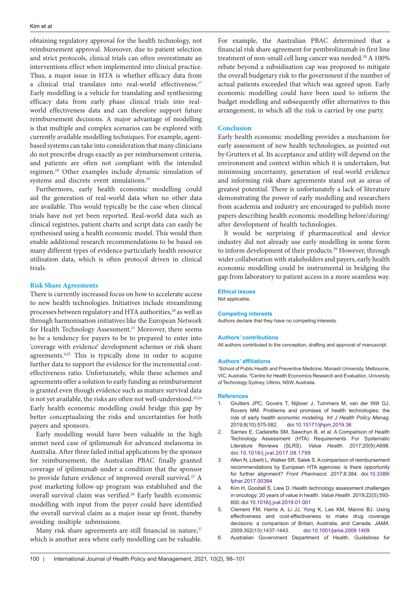obtaining regulatory approval for the health technology, not reimbursement approval. Moreover, due to patient selection and strict protocols, clinical trials can often overestimate an interventions effect when implemented into clinical practice. Thus, a major issue in HTA is whether efficacy data from a clinical trial translates into real-world effectiveness.<sup>17</sup> Early modelling is a vehicle for translating and synthesizing efficacy data from early phase clinical trials into realworld effectiveness data and can therefore support future reimbursement decisions. A major advantage of modelling is that multiple and complex scenarios can be explored with currently available modelling techniques. For example, agentbased systems can take into consideration that many clinicians do not prescribe drugs exactly as per reimbursement criteria, and patients are often not compliant with the intended regimen.18 Other examples include dynamic simulation of systems and discrete event simulations.19

Furthermore, early health economic modelling could aid the generation of real-world data when no other data are available. This would typically be the case when clinical trials have not yet been reported. Real-world data such as clinical registries, patient charts and script data can easily be synthesised using a health economic model. This would then enable additional research recommendations to be based on many different types of evidence particularly health resource utilisation data, which is often protocol driven in clinical trials.

### **Risk Share Agreements**

There is currently increased focus on how to accelerate access to new health technologies. Initiatives include streamlining processes between regulatory and HTA authorities,<sup>20</sup> as well as through harmonisation initiatives like the European Network for Health Technology Assessment.<sup>21</sup> Moreover, there seems to be a tendency for payers to be to prepared to enter into 'coverage with evidence' development schemes or risk share agreements.<sup>4,22</sup> This is typically done in order to acquire further data to support the evidence for the incremental costeffectiveness ratio. Unfortunately, while these schemes and agreements offer a solution to early funding as reimbursement is granted even though evidence such as mature survival data is not yet available, the risks are often not well-understood.<sup>23,24</sup> Early health economic modelling could bridge this gap by better conceptualising the risks and uncertainties for both payers and sponsors.

Early modelling would have been valuable in the high unmet need case of ipilimumab for advanced melanoma in Australia. After three failed initial applications by the sponsor for reimbursement, the Australian PBAC finally granted coverage of ipilimumab under a condition that the sponsor to provide future evidence of improved overall survival.25 A post marketing follow-up program was established and the overall survival claim was verified.<sup>26</sup> Early health economic modelling with input from the payer could have identified the overall survival claim as a major issue up front, thereby avoiding multiple submissions.

Many risk share agreements are still financial in nature, $27$ which is another area where early modelling can be valuable. For example, the Australian PBAC determined that a financial risk share agreement for pembrolizumab in first line treatment of non-small cell lung cancer was needed.<sup>28</sup> A 100% rebate beyond a subsidisation cap was proposed to mitigate the overall budgetary risk to the government if the number of actual patients exceeded that which was agreed upon. Early economic modelling could have been used to inform the budget modelling and subsequently offer alternatives to this arrangement, in which all the risk is carried by one party.

#### **Conclusion**

Early health economic modelling provides a mechanism for early assessment of new health technologies, as pointed out by Grutters et al. Its acceptance and utility will depend on the environment and context within which it is undertaken, but minimising uncertainty, generation of real-world evidence and informing risk share agreements stand out as areas of greatest potential. There is unfortunately a lack of literature demonstrating the power of early modelling and researchers from academia and industry are encouraged to publish more papers describing health economic modelling before/during/ after development of health technologies.

It would be surprising if pharmaceutical and device industry did not already use early modelling in some form to inform development of their products.<sup>29</sup> However, through wider collaboration with stakeholders and payers, early health economic modelling could be instrumental in bridging the gap from laboratory to patient access in a more seamless way.

#### **Ethical issues**

Not applicable.

#### **Competing interests**

Authors declare that they have no competing interests.

#### **Authors' contributions**

All authors contributed to the conception, drafting and approval of manuscript.

#### **Authors' affiliations**

1 School of Public Health and Preventive Medicine, Monash University, Melbourne, VIC, Australia. <sup>2</sup> Centre for Health Economics Research and Evaluation, University of Technology Sydney, Ultimo, NSW, Australia.

#### **References**

- 1. Grutters JPC, Govers T, Nijboer J, Tummers M, van der Wilt GJ, Rovers MM. Problems and promises of health technologies: the role of early health economic modeling. *Int J Health Policy Manag*. 2019;8(10):575-582. doi:[10.15171/ijhpm.2019.36](https://doi.org/10.15171/ijhpm.2019.36)
- 2. Sarnes E, Cadarette SM, Sawchyn B, et al. A Comparison of Health Technology Assessment (HTA) Requirements For Systematic Literature Reviews (SLRS). *Value Health*. 2017;20(9):A698. doi:[10.1016/j.jval.2017.08.1799](https://doi.org/10.1016/j.jval.2017.08.1799)
- 3. Allen N, Liberti L, Walker SR, Salek S. A comparison of reimbursement recommendations by European HTA agencies: is there opportunity for further alignment? *Front Pharmacol*. 2017;8:384. doi:[10.3389/](https://doi.org/10.3389/fphar.2017.00384) [fphar.2017.00384](https://doi.org/10.3389/fphar.2017.00384)
- 4. Kim H, Goodall S, Liew D. Health technology assessment challenges in oncology: 20 years of value in health. *Value Health*. 2019;22(5):593- 600. doi[:10.1016/j.jval.2019.01.001](https://doi.org/10.1016/j.jval.2019.01.001)
- 5. Clement FM, Harris A, Li JJ, Yong K, Lee KM, Manns BJ. Using effectiveness and cost-effectiveness to make drug coverage decisions: a comparison of Britain, Australia, and Canada. *JAMA*. 2009;302(13):1437-1443. doi[:10.1001/jama.2009.1409](https://doi.org/10.1001/jama.2009.1409)
- 6. Australian Government Department of Health. Guidelines for